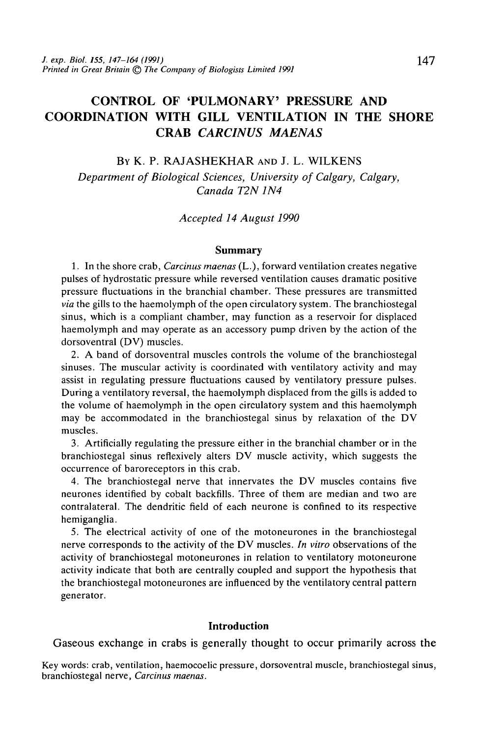# CONTROL OF 'PULMONARY' PRESSURE AND COORDINATION WITH GILL VENTILATION IN THE SHORE CRAB *CARCINUS MAENAS*

# BY K. P. RAJASHEKHAR AND J. L. WILKENS

*Department of Biological Sciences, University of Calgary, Calgary, Canada T2N 1N4*

### *Accepted 14 August 1990*

#### **Summary**

1. In the shore crab, *Carcinus maenas* (L.), forward ventilation creates negative pulses of hydrostatic pressure while reversed ventilation causes dramatic positive pressure fluctuations in the branchial chamber. These pressures are transmitted *via* the gills to the haemolymph of the open circulatory system. The branchiostegal sinus, which is a compliant chamber, may function as a reservoir for displaced haemolymph and may operate as an accessory pump driven by the action of the dorsoventral (DV) muscles.

2. A band of dorsoventral muscles controls the volume of the branchiostegal sinuses. The muscular activity is coordinated with ventilatory activity and may assist in regulating pressure fluctuations caused by ventilatory pressure pulses. During a ventilatory reversal, the haemolymph displaced from the gills is added to the volume of haemolymph in the open circulatory system and this haemolymph may be accommodated in the branchiostegal sinus by relaxation of the DV muscles.

3. Artificially regulating the pressure either in the branchial chamber or in the branchiostegal sinus reflexively alters DV muscle activity, which suggests the occurrence of baroreceptors in this crab.

4. The branchiostegal nerve that innervates the DV muscles contains five neurones identified by cobalt backfills. Three of them are median and two are contralateral. The dendritic field of each neurone is confined to its respective hemiganglia.

5. The electrical activity of one of the motoneurones in the branchiostegal nerve corresponds to the activity of the DV muscles. *In vitro* observations of the activity of branchiostegal motoneurones in relation to ventilatory motoneurone activity indicate that both are centrally coupled and support the hypothesis that the branchiostegal motoneurones are influenced by the ventilatory central pattern generator.

#### **Introduction**

Gaseous exchange in crabs is generally thought to occur primarily across the

Key words: crab, ventilation, haemocoelic pressure, dorsoventral muscle, branchiostegal sinus, branchiostegal nerve, *Carcinus maenas.*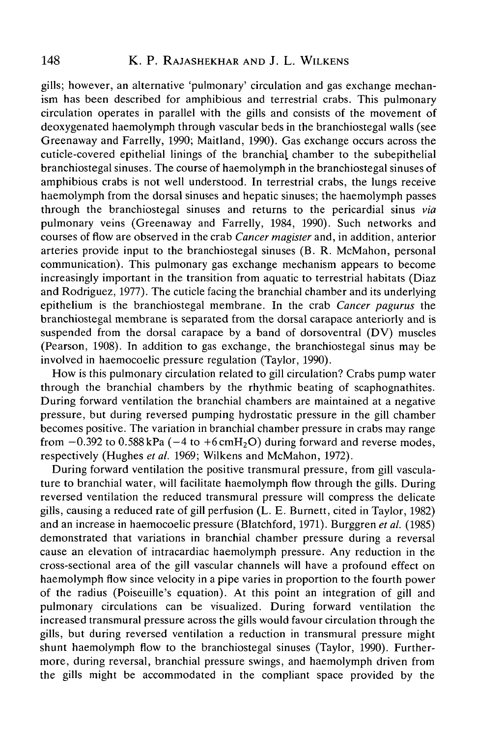gills; however, an alternative 'pulmonary' circulation and gas exchange mechanism has been described for amphibious and terrestrial crabs. This pulmonary circulation operates in parallel with the gills and consists of the movement of deoxygenated haemolymph through vascular beds in the branchiostegal walls (see Greenaway and Farrelly, 1990; Maitland, 1990). Gas exchange occurs across the cuticle-covered epithelial linings of the branchial chamber to the subepithelial branchiostegal sinuses. The course of haemolymph in the branchiostegal sinuses of amphibious crabs is not well understood. In terrestrial crabs, the lungs receive haemolymph from the dorsal sinuses and hepatic sinuses; the haemolymph passes through the branchiostegal sinuses and returns to the pericardial sinus *via* pulmonary veins (Greenaway and Farrelly, 1984, 1990). Such networks and courses of flow are observed in the crab *Cancer magister* and, in addition, anterior arteries provide input to the branchiostegal sinuses (B. R. McMahon, personal communication). This pulmonary gas exchange mechanism appears to become increasingly important in the transition from aquatic to terrestrial habitats (Diaz and Rodriguez, 1977). The cuticle facing the branchial chamber and its underlying epithelium is the branchiostegal membrane. In the crab *Cancer pagurus* the branchiostegal membrane is separated from the dorsal carapace anteriorly and is suspended from the dorsal carapace by a band of dorsoventral (DV) muscles (Pearson, 1908). In addition to gas exchange, the branchiostegal sinus may be involved in haemocoelic pressure regulation (Taylor, 1990).

How is this pulmonary circulation related to gill circulation? Crabs pump water through the branchial chambers by the rhythmic beating of scaphognathites. During forward ventilation the branchial chambers are maintained at a negative pressure, but during reversed pumping hydrostatic pressure in the gill chamber becomes positive. The variation in branchial chamber pressure in crabs may range from  $-0.392$  to 0.588 kPa ( $-4$  to  $+6$  cmH<sub>2</sub>O) during forward and reverse modes, respectively (Hughes *et al.* 1969; Wilkens and McMahon, 1972).

During forward ventilation the positive transmural pressure, from gill vasculature to branchial water, will facilitate haemolymph flow through the gills. During reversed ventilation the reduced transmural pressure will compress the delicate gills, causing a reduced rate of gill perfusion (L. E. Burnett, cited in Taylor, 1982) and an increase in haemocoelic pressure (Blatchford, 1971). Burggren *et al.* (1985) demonstrated that variations in branchial chamber pressure during a reversal cause an elevation of intracardiac haemolymph pressure. Any reduction in the cross-sectional area of the gill vascular channels will have a profound effect on haemolymph flow since velocity in a pipe varies in proportion to the fourth power of the radius (Poiseuille's equation). At this point an integration of gill and pulmonary circulations can be visualized. During forward ventilation the increased transmural pressure across the gills would favour circulation through the gills, but during reversed ventilation a reduction in transmural pressure might shunt haemolymph flow to the branchiostegal sinuses (Taylor, 1990). Furthermore, during reversal, branchial pressure swings, and haemolymph driven from the gills might be accommodated in the compliant space provided by the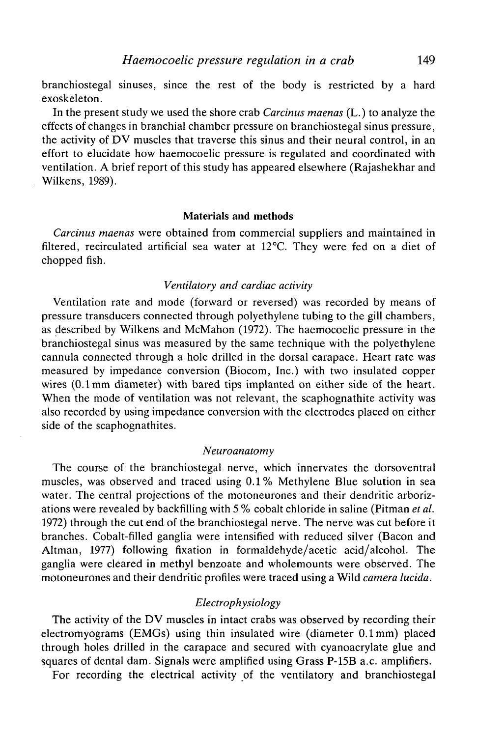branchiostegal sinuses, since the rest of the body is restricted by a hard exoskeleton.

In the present study we used the shore crab *Carcinus maenas* (L.) to analyze the effects of changes in branchial chamber pressure on branchiostegal sinus pressure, the activity of DV muscles that traverse this sinus and their neural control, in an effort to elucidate how haemocoelic pressure is regulated and coordinated with ventilation. A brief report of this study has appeared elsewhere (Rajashekhar and Wilkens, 1989).

#### **Materials and methods**

*Carcinus maenas* were obtained from commercial suppliers and maintained in filtered, recirculated artificial sea water at 12°C. They were fed on a diet of chopped fish.

#### *Ventilatory and cardiac activity*

Ventilation rate and mode (forward or reversed) was recorded by means of pressure transducers connected through polyethylene tubing to the gill chambers, as described by Wilkens and McMahon (1972). The haemocoelic pressure in the branchiostegal sinus was measured by the same technique with the polyethylene cannula connected through a hole drilled in the dorsal carapace. Heart rate was measured by impedance conversion (Biocom, Inc.) with two insulated copper wires (0.1mm diameter) with bared tips implanted on either side of the heart. When the mode of ventilation was not relevant, the scaphognathite activity was also recorded by using impedance conversion with the electrodes placed on either side of the scaphognathites.

#### *Neuroanatomy*

The course of the branchiostegal nerve, which innervates the dorsoventral muscles, was observed and traced using 0.1% Methylene Blue solution in sea water. The central projections of the motoneurones and their dendritic arborizations were revealed by backfilling with 5 % cobalt chloride in saline (Pitman *et al.* 1972) through the cut end of the branchiostegal nerve. The nerve was cut before it branches. Cobalt-filled ganglia were intensified with reduced silver (Bacon and Altman, 1977) following fixation in formaldehyde/acetic acid/alcohol. The ganglia were cleared in methyl benzoate and wholemounts were observed. The motoneurones and their dendritic profiles were traced using a Wild *camera lucida.*

# *Electrophysiology*

The activity of the DV muscles in intact crabs was observed by recording their electromyograms (EMGs) using thin insulated wire (diameter 0.1mm) placed through holes drilled in the carapace and secured with cyanoacrylate glue and squares of dental dam. Signals were amplified using Grass P-15B a.c. amplifiers.

For recording the electrical activity of the ventilatory and branchiostegal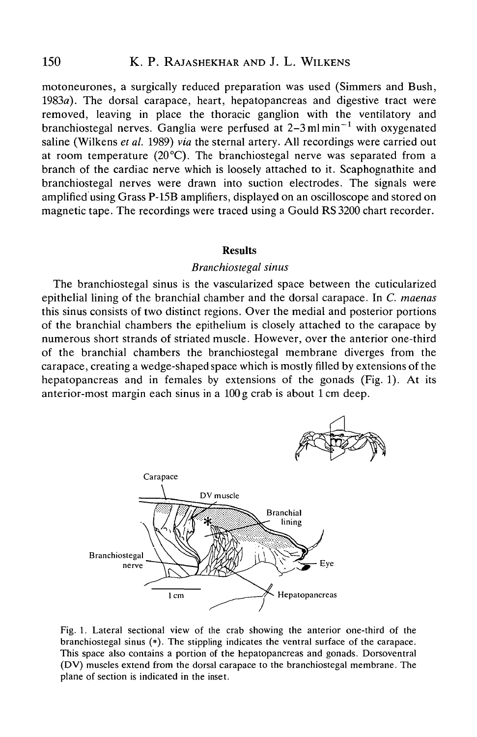# 150 K. P. RAJASHEKHAR AND J. L. WILKENS

motoneurones, a surgically reduced preparation was used (Simmers and Bush, 1983a). The dorsal carapace, heart, hepatopancreas and digestive tract were removed, leaving in place the thoracic ganglion with the ventilatory and branchiostegal nerves. Ganglia were perfused at 2–3 ml min $^{-1}$  with oxygenated saline (Wilkens *et al.* 1989) *via* the sternal artery. All recordings were carried out at room temperature  $(20^{\circ}C)$ . The branchiostegal nerve was separated from a branch of the cardiac nerve which is loosely attached to it. Scaphognathite and branchiostegal nerves were drawn into suction electrodes. The signals were amplified using Grass P-15B amplifiers, displayed on an oscilloscope and stored on magnetic tape. The recordings were traced using a Gould RS 3200 chart recorder.

#### Results

#### *Branchiostegal sinus*

The branchiostegal sinus is the vascularized space between the cuticularized epithelial lining of the branchial chamber and the dorsal carapace. In *C. maenas* this sinus consists of two distinct regions. Over the medial and posterior portions of the branchial chambers the epithelium is closely attached to the carapace by numerous short strands of striated muscle. However, over the anterior one-third of the branchial chambers the branchiostegal membrane diverges from the carapace, creating a wedge-shaped space which is mostly filled by extensions of the hepatopancreas and in females by extensions of the gonads (Fig. 1). At its anterior-most margin each sinus in a 100 g crab is about lcm deep.



Fig. 1. Lateral sectional view of the crab showing the anterior one-third of the branchiostegal sinus  $(*)$ . The stippling indicates the ventral surface of the carapace. This space also contains a portion of the hepatopancreas and gonads. Dorsoventral (DV) muscles extend from the dorsal carapace to the branchiostegal membrane. The plane of section is indicated in the inset.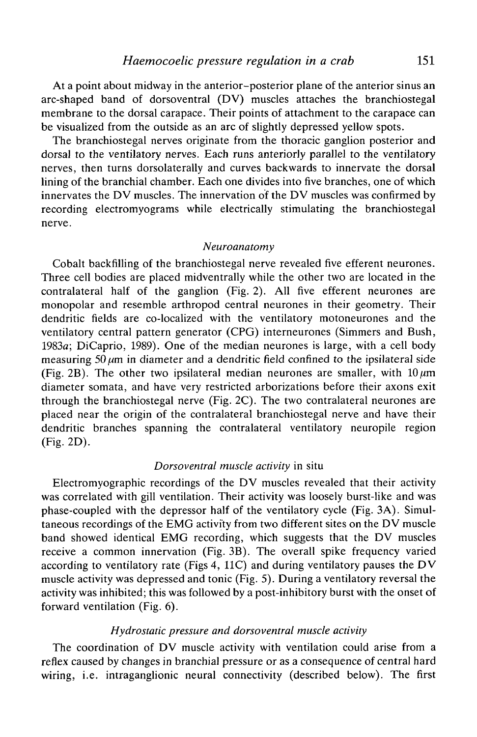At a point about midway in the anterior-posterior plane of the anterior sinus an arc-shaped band of dorsoventral (DV) muscles attaches the branchiostegal membrane to the dorsal carapace. Their points of attachment to the carapace can be visualized from the outside as an arc of slightly depressed yellow spots.

The branchiostegal nerves originate from the thoracic ganglion posterior and dorsal to the ventilatory nerves. Each runs anteriorly parallel to the ventilatory nerves, then turns dorsolaterally and curves backwards to innervate the dorsal lining of the branchial chamber. Each one divides into five branches, one of which innervates the DV muscles. The innervation of the DV muscles was confirmed by recording electromyograms while electrically stimulating the branchiostegal nerve.

#### *Neuroanatomy*

Cobalt backfilling of the branchiostegal nerve revealed five efferent neurones. Three cell bodies are placed midventrally while the other two are located in the contralateral half of the ganglion (Fig. 2). All five efferent neurones are monopolar and resemble arthropod central neurones in their geometry. Their dendritic fields are co-localized with the ventilatory motoneurones and the ventilatory central pattern generator (CPG) interneurones (Simmers and Bush, 1983a; DiCaprio, 1989). One of the median neurones is large, with a cell body measuring  $50 \mu m$  in diameter and a dendritic field confined to the ipsilateral side (Fig. 2B). The other two ipsilateral median neurones are smaller, with  $10 \mu m$ diameter somata, and have very restricted arborizations before their axons exit through the branchiostegal nerve (Fig. 2C). The two contralateral neurones are placed near the origin of the contralateral branchiostegal nerve and have their dendritic branches spanning the contralateral ventilatory neuropile region (Fig. 2D).

#### *Dorsoventral muscle activity* in situ

Electromyographic recordings of the DV muscles revealed that their activity was correlated with gill ventilation. Their activity was loosely burst-like and was phase-coupled with the depressor half of the ventilatory cycle (Fig. 3A). Simultaneous recordings of the EMG activity from two different sites on the DV muscle band showed identical EMG recording, which suggests that the DV muscles receive a common innervation (Fig. 3B). The overall spike frequency varied according to ventilatory rate (Figs 4, 11C) and during ventilatory pauses the DV muscle activity was depressed and tonic (Fig. 5). During a ventilatory reversal the activity was inhibited; this was followed by a post-inhibitory burst with the onset of forward ventilation (Fig. 6).

### *Hydrostatic pressure and dorsoventral muscle activity*

The coordination of DV muscle activity with ventilation could arise from a reflex caused by changes in branchial pressure or as a consequence of central hard wiring, i.e. intraganglionic neural connectivity (described below). The first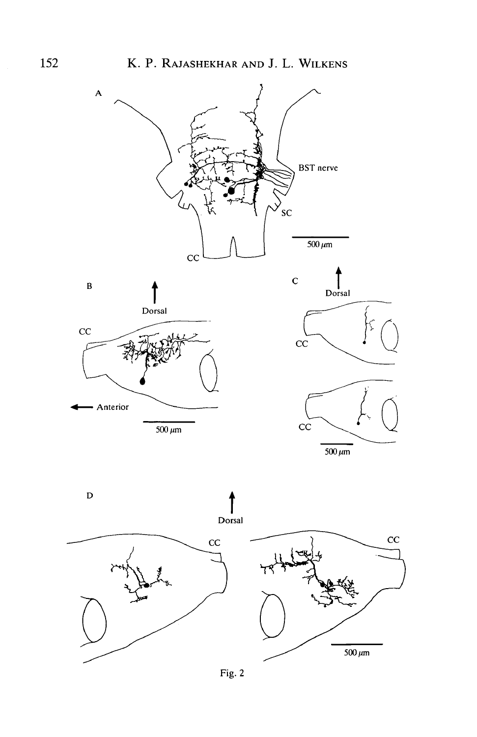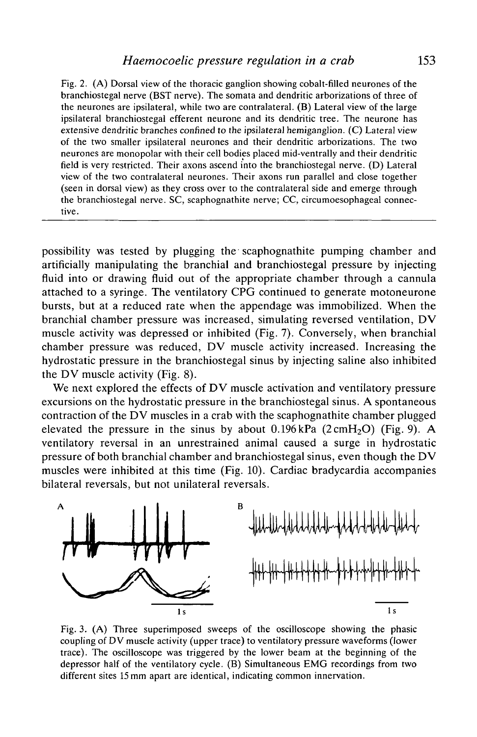Fig. 2. (A) Dorsal view of the thoracic ganglion showing cobalt-filled neurones of the branchiostegal nerve (BST nerve). The somata and dendritic arborizations of three of the neurones are ipsilateral, while two are contralateral. (B) Lateral view of the large ipsilateral branchiostegal efferent neurone and its dendritic tree. The neurone has extensive dendritic branches confined to the ipsilateral hemiganglion. (C) Lateral view of the two smaller ipsilateral neurones and their dendritic arborizations. The two neurones are monopolar with their cell bodies placed mid-ventrally and their dendritic field is very restricted. Their axons ascend into the branchiostegal nerve. (D) Lateral view of the two contralateral neurones. Their axons run parallel and close together (seen in dorsal view) as they cross over to the contralateral side and emerge through the branchiostegal nerve. SC, scaphognathite nerve; CC, circumoesophageal connective.

possibility was tested by plugging the scaphognathite pumping chamber and artificially manipulating the branchial and branchiostegal pressure by injecting fluid into or drawing fluid out of the appropriate chamber through a cannula attached to a syringe. The ventilatory CPG continued to generate motoneurone bursts, but at a reduced rate when the appendage was immobilized. When the branchial chamber pressure was increased, simulating reversed ventilation, DV muscle activity was depressed or inhibited (Fig. 7). Conversely, when branchial chamber pressure was reduced, DV muscle activity increased. Increasing the hydrostatic pressure in the branchiostegal sinus by injecting saline also inhibited the DV muscle activity (Fig. 8).

We next explored the effects of DV muscle activation and ventilatory pressure excursions on the hydrostatic pressure in the branchiostegal sinus. A spontaneous contraction of the DV muscles in a crab with the scaphognathite chamber plugged elevated the pressure in the sinus by about  $0.196$  kPa  $(2 \text{ cm}H_2O)$  (Fig. 9). A ventilatory reversal in an unrestrained animal caused a surge in hydrostatic pressure of both branchial chamber and branchiostegal sinus, even though the DV muscles were inhibited at this time (Fig. 10). Cardiac bradycardia accompanies bilateral reversals, but not unilateral reversals.



Fig. 3. (A) Three superimposed sweeps of the oscilloscope showing the phasic coupling of DV muscle activity (upper trace) to ventilatory pressure waveforms (lower trace). The oscilloscope was triggered by the lower beam at the beginning of the depressor half of the ventilatory cycle. (B) Simultaneous EMG recordings from two different sites 15 mm apart are identical, indicating common innervation.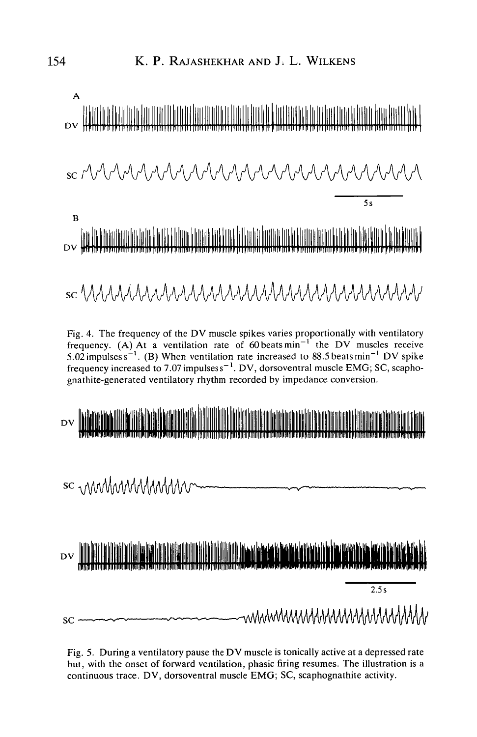

Fig. 5. During a ventilatory pause the DV muscle is tonically active at a depressed rate but, with the onset of forward ventilation, phasic firing resumes. The illustration is a continuous trace. DV, dorsoventral muscle EMG; SC, scaphognathite activity.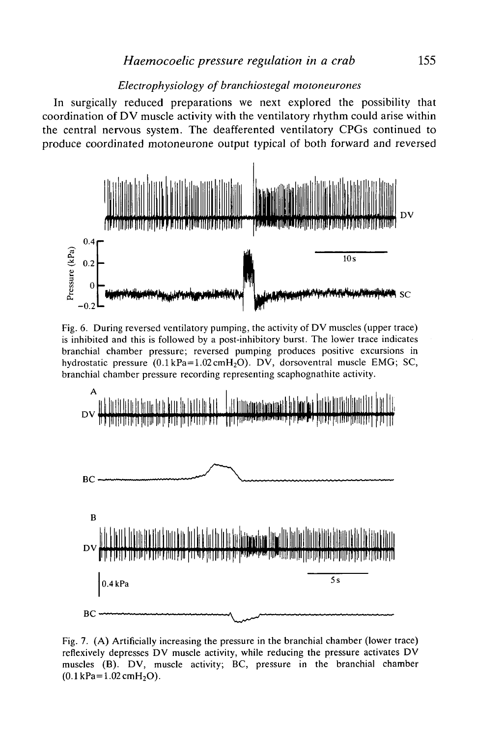# *Electrophysiology of branchiostegal motoneurones*

In surgically reduced preparations we next explored the possibility that coordination of DV muscle activity with the ventilatory rhythm could arise within the central nervous system. The deafferented ventilatory CPGs continued to produce coordinated motoneurone output typical of both forward and reversed



Fig. 6. During reversed ventilatory pumping, the activity of DV muscles (upper trace) is inhibited and this is followed by a post-inhibitory burst. The lower trace indicates branchial chamber pressure; reversed pumping produces positive excursions in hydrostatic pressure  $(0.1 \text{ kPa}=1.02 \text{ cmH}_2\text{O})$ . DV, dorsoventral muscle EMG; SC, branchial chamber pressure recording representing scaphognathite activity.



Fig. 7. (A) Artificially increasing the pressure in the branchial chamber (lower trace) refiexively depresses DV muscle activity, while reducing the pressure activates DV muscles (B). DV, muscle activity; BC, pressure in the branchial chamber  $(0.1 \text{ kPa} = 1.02 \text{ cmH}_2\text{O}).$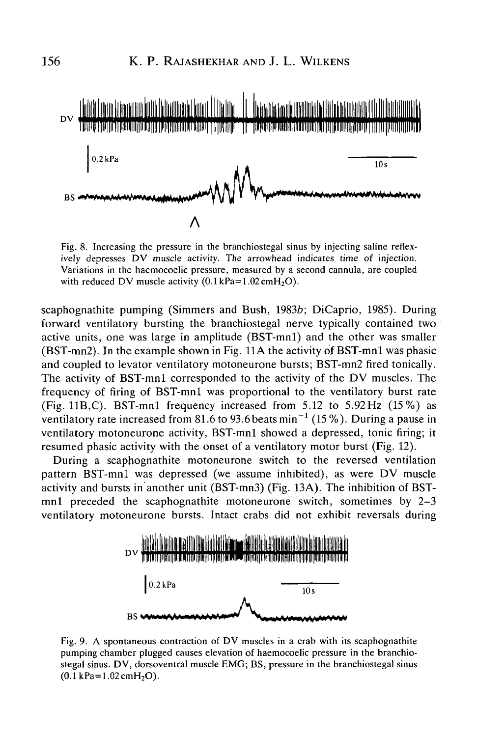

Fig. 8. Increasing the pressure in the branchiostegal sinus by injecting saline reflexively depresses DV muscle activity. The arrowhead indicates time of injection. Variations in the haemocoelic pressure, measured by a second cannula, are coupled with reduced DV muscle activity  $(0.1 \text{ kPa}=1.02 \text{ cmH}_2\text{O})$ .

scaphognathite pumping (Simmers and Bush, 1983b; DiCaprio, 1985). During forward ventilatory bursting the branchiostegal nerve typically contained two active units, one was large in amplitude (BST-mnl) and the other was smaller (BST-mn2). In the example shown in Fig. 11A the activity of BST-mnl was phasic and coupled to levator ventilatory motoneurone bursts; BST-mn2 fired tonically. The activity of BST-mnl corresponded to the activity of the DV muscles. The frequency of firing of BST-mnl was proportional to the ventilatory burst rate (Fig. 11B,C). BST-mnl frequency increased from 5.12 to 5.92Hz (15%) as ventilatory rate increased from 81.6 to 93.6 beats min<sup>-1</sup> (15 %). During a pause in ventilatory motoneurone activity, BST-mnl showed a depressed, tonic firing; it resumed phasic activity with the onset of a ventilatory motor burst (Fig. 12).

During a scaphognathite motoneurone switch to the reversed ventilation pattern BST-mnl was depressed (we assume inhibited), as were DV muscle activity and bursts in another unit (BST-mn3) (Fig. 13A). The inhibition of BSTmnl preceded the scaphognathite motoneurone switch, sometimes by 2-3 ventilatory motoneurone bursts. Intact crabs did not exhibit reversals during



Fig. 9. A spontaneous contraction of DV muscles in a crab with its scaphognathite pumping chamber plugged causes elevation of haemocoelic pressure in the branchiostegal sinus. DV, dorsoventral muscle EMG; BS, pressure in the branchiostegal sinus  $(0.1 \text{ kPa} = 1.02 \text{ cm}H_2O)$ .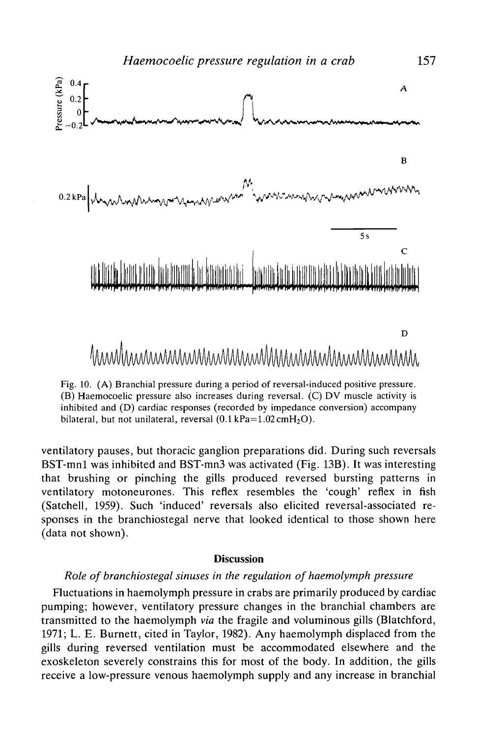

Fig. 10. (A) Branchial pressure during a period of reversal-induced positive pressure. (B) Haemocoelic pressure also increases during reversal. (C) DV muscle activity is inhibited and (D) cardiac responses (recorded by impedance conversion) accompany bilateral, but not unilateral, reversal  $(0.1 \text{ kPa} = 1.02 \text{ cm}H_2\text{O})$ .

ventilatory pauses, but thoracic ganglion preparations did. During such reversals BST-mnl was inhibited and BST-mn3 was activated (Fig. 13B). It was interesting that brushing or pinching the gills produced reversed bursting patterns in ventilatory motoneurones. This reflex resembles the 'cough' reflex in fish (Satchell, 1959). Such 'induced' reversals also elicited reversal-associated responses in the branchiostegal nerve that looked identical to those shown here (data not shown).

#### **Discussion**

# *Role of branchiostegal sinuses in the regulation of haemolymph pressure*

Fluctuations in haemolymph pressure in crabs are primarily produced by cardiac pumping; however, ventilatory pressure changes in the branchial chambers are transmitted to the haemolymph *via* the fragile and voluminous gills (Blatchford, 1971; L. E. Burnett, cited in Taylor, 1982). Any haemolymph displaced from the gills during reversed ventilation must be accommodated elsewhere and the exoskeleton severely constrains this for most of the body. In addition, the gills receive a low-pressure venous haemolymph supply and any increase in branchial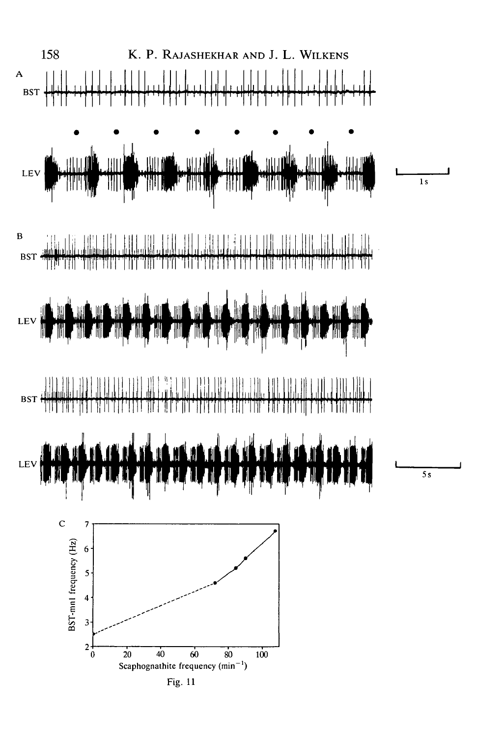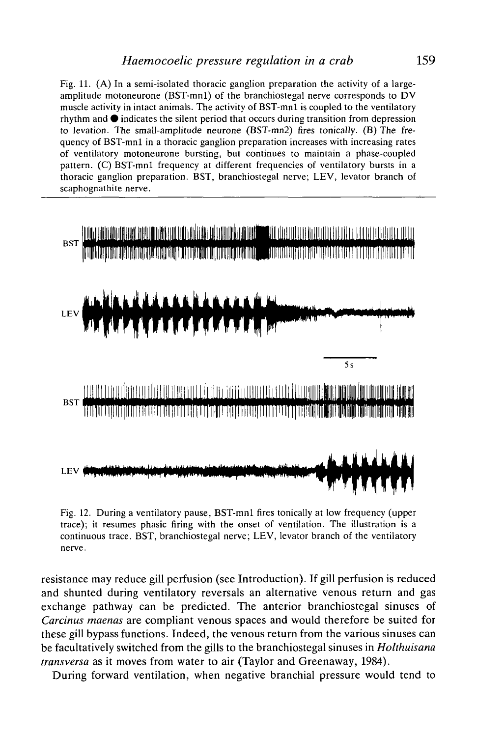Fig. 11. (A) In a semi-isolated thoracic ganglion preparation the activity of a largeamplitude motoneurone (BST-mnl) of the branchiostegal nerve corresponds to DV muscle activity in intact animals. The activity of BST-mnl is coupled to the ventilatory rhythm and  $\bullet$  indicates the silent period that occurs during transition from depression to levation. The small-amplitude neurone (BST-mn2) fires tonically. (B) The frequency of BST-mnl in a thoracic ganglion preparation increases with increasing rates of ventilatory motoneurone bursting, but continues to maintain a phase-coupled pattern. (C) BST-mnl frequency at different frequencies of ventilatory bursts in a thoracic ganglion preparation. BST, branchiostegal nerve; LEV, levator branch of scaphognathite nerve.



Fig. 12. During a ventilatory pause, BST-mnl fires tonically at low frequency (upper trace); it resumes phasic firing with the onset of ventilation. The illustration is a continuous trace. BST, branchiostegal nerve; LEV, levator branch of the ventilatory nerve.

resistance may reduce gill perfusion (see Introduction). If gill perfusion is reduced and shunted during ventilatory reversals an alternative venous return and gas exchange pathway can be predicted. The anterior branchiostegal sinuses of *Carcinus maenas* are compliant venous spaces and would therefore be suited for these gill bypass functions. Indeed, the venous return from the various sinuses can be facultatively switched from the gills to the branchiostegal sinuses in *Holthuisana transversa* as it moves from water to air (Taylor and Greenaway, 1984).

During forward ventilation, when negative branchial pressure would tend to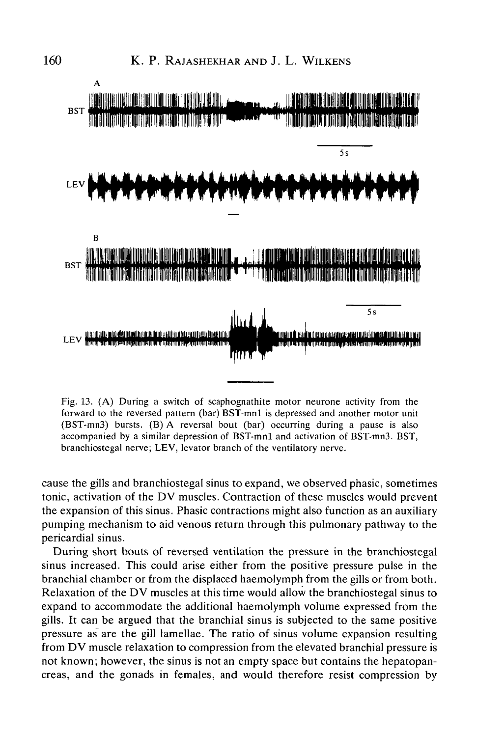

Fig. 13. (A) During a switch of scaphognathite motor neurone activity from the forward to the reversed pattern (bar) BST-mnl is depressed and another motor unit (BST-mn3) bursts. (B) A reversal bout (bar) occurring during a pause is also accompanied by a similar depression of BST-mnl and activation of BST-mn3. BST, branchiostegal nerve; LEV, levator branch of the ventilatory nerve.

cause the gills and branchiostegal sinus to expand, we observed phasic, sometimes tonic, activation of the DV muscles. Contraction of these muscles would prevent the expansion of this sinus. Phasic contractions might also function as an auxiliary pumping mechanism to aid venous return through this pulmonary pathway to the pericardial sinus.

During short bouts of reversed ventilation the pressure in the branchiostegal sinus increased. This could arise either from the positive pressure pulse in the branchial chamber or from the displaced haemolymph from the gills or from both. Relaxation of the DV muscles at this time would allow the branchiostegal sinus to expand to accommodate the additional haemolymph volume expressed from the gills. It can be argued that the branchial sinus is subjected to the same positive pressure as are the gill lamellae. The ratio of sinus volume expansion resulting from DV muscle relaxation to compression from the elevated branchial pressure is not known; however, the sinus is not an empty space but contains the hepatopancreas, and the gonads in females, and would therefore resist compression by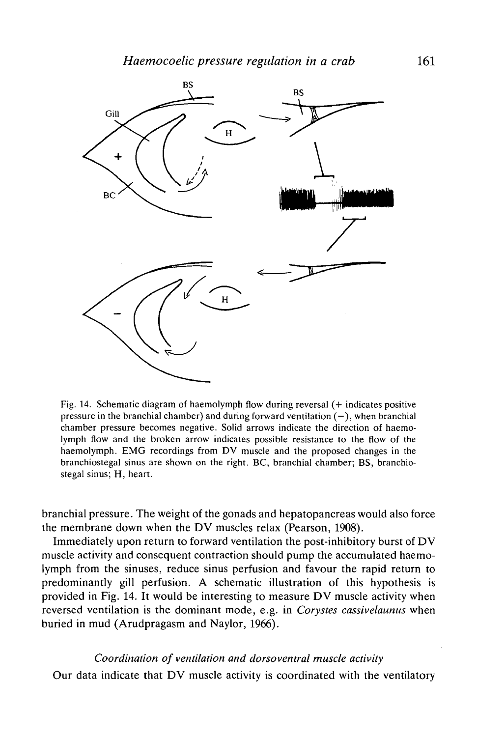

Fig. 14. Schematic diagram of haemolymph flow during reversal (+ indicates positive pressure in the branchial chamber) and during forward ventilation  $(-)$ , when branchial chamber pressure becomes negative. Solid arrows indicate the direction of haemolymph flow and the broken arrow indicates possible resistance to the flow of the haemolymph. EMG recordings from DV muscle and the proposed changes in the branchiostegal sinus are shown on the right. BC, branchial chamber; BS, branchiostegal sinus; H, heart.

branchial pressure. The weight of the gonads and hepatopancreas would also force the membrane down when the DV muscles relax (Pearson, 1908).

Immediately upon return to forward ventilation the post-inhibitory burst of DV muscle activity and consequent contraction should pump the accumulated haemolymph from the sinuses, reduce sinus perfusion and favour the rapid return to predominantly gill perfusion. A schematic illustration of this hypothesis is provided in Fig. 14. It would be interesting to measure DV muscle activity when reversed ventilation is the dominant mode, e.g. in *Corystes cassivelaunus* when buried in mud (Arudpragasm and Naylor, 1966).

# *Coordination of ventilation and dorsoventral muscle activity*

Our data indicate that DV muscle activity is coordinated with the ventilatory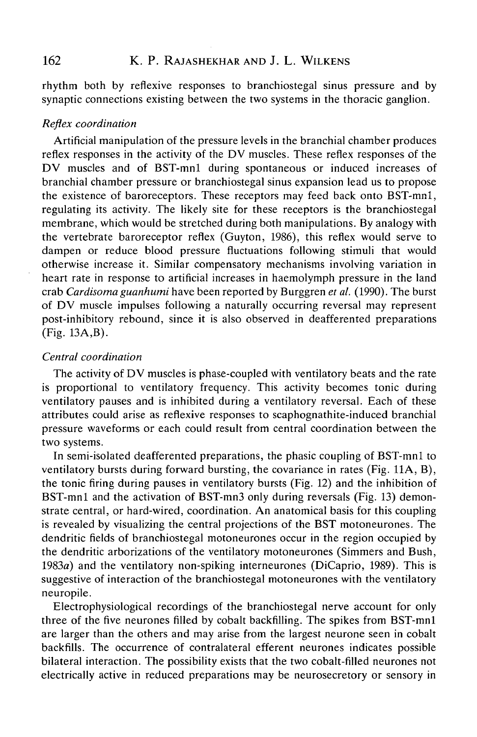rhythm both by reflexive responses to branchiostegal sinus pressure and by synaptic connections existing between the two systems in the thoracic ganglion.

# *Reflex coordination*

Artificial manipulation of the pressure levels in the branchial chamber produces reflex responses in the activity of the DV muscles. These reflex responses of the DV muscles and of BST-mnl during spontaneous or induced increases of branchial chamber pressure or branchiostegal sinus expansion lead us to propose the existence of baroreceptors. These receptors may feed back onto BST-mnl, regulating its activity. The likely site for these receptors is the branchiostegal membrane, which would be stretched during both manipulations. By analogy with the vertebrate baroreceptor reflex (Guyton, 1986), this reflex would serve to dampen or reduce blood pressure fluctuations following stimuli that would otherwise increase it. Similar compensatory mechanisms involving variation in heart rate in response to artificial increases in haemolymph pressure in the land crab *Cardisoma guanhumi* have been reported by Burggren *et al.* (1990). The burst of DV muscle impulses following a naturally occurring reversal may represent post-inhibitory rebound, since it is also observed in deafferented preparations (Fig. 13A.B).

# *Central coordination*

The activity of DV muscles is phase-coupled with ventilatory beats and the rate is proportional to ventilatory frequency. This activity becomes tonic during ventilatory pauses and is inhibited during a ventilatory reversal. Each of these attributes could arise as reflexive responses to scaphognathite-induced branchial pressure waveforms or each could result from central coordination between the two systems.

In semi-isolated deafferented preparations, the phasic coupling of BST-mnl to ventilatory bursts during forward bursting, the covariance in rates (Fig. 11A, B), the tonic firing during pauses in ventilatory bursts (Fig. 12) and the inhibition of BST-mnl and the activation of BST-mn3 only during reversals (Fig. 13) demonstrate central, or hard-wired, coordination. An anatomical basis for this coupling is revealed by visualizing the central projections of the BST motoneurones. The dendritic fields of branchiostegal motoneurones occur in the region occupied by the dendritic arborizations of the ventilatory motoneurones (Simmers and Bush, 1983a) and the ventilatory non-spiking interneurones (DiCaprio, 1989). This is suggestive of interaction of the branchiostegal motoneurones with the ventilatory neuropile.

Electrophysiological recordings of the branchiostegal nerve account for only three of the five neurones filled by cobalt backfilling. The spikes from BST-mnl are larger than the others and may arise from the largest neurone seen in cobalt backfills. The occurrence of contralateral efferent neurones indicates possible bilateral interaction. The possibility exists that the two cobalt-filled neurones not electrically active in reduced preparations may be neurosecretory or sensory in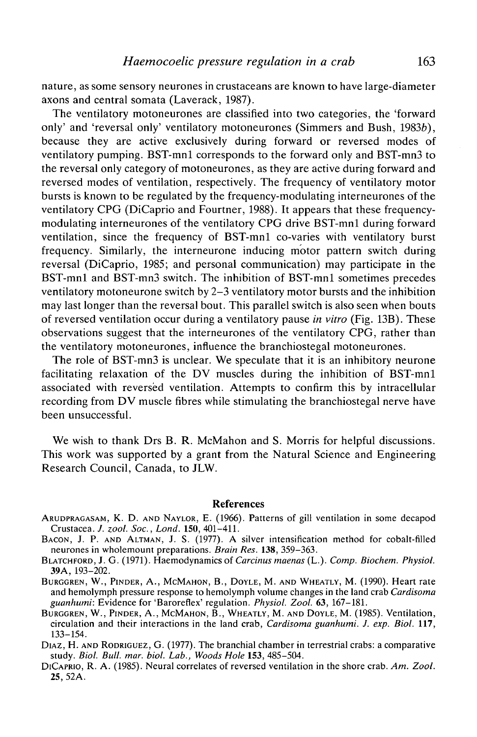nature, as some sensory neurones in crustaceans are known to have large-diameter axons and central somata (Laverack, 1987).

The ventilatory motoneurones are classified into two categories, the 'forward only' and 'reversal only' ventilatory motoneurones (Simmers and Bush, 1983b), because they are active exclusively during forward or reversed modes of ventilatory pumping. BST-mnl corresponds to the forward only and BST-mn3 to the reversal only category of motoneurones, as they are active during forward and reversed modes of ventilation, respectively. The frequency of ventilatory motor bursts is known to be regulated by the frequency-modulating interneurones of the ventilatory CPG (DiCaprio and Fourtner, 1988). It appears that these frequencymodulating interneurones of the ventilatory CPG drive BST-mnl during forward ventilation, since the frequency of BST-mnl co-varies with ventilatory burst frequency. Similarly, the interneurone inducing motor pattern switch during reversal (DiCaprio, 1985; and personal communication) may participate in the BST-mnl and BST-mn3 switch. The inhibition of BST-mnl sometimes precedes ventilatory motoneurone switch by 2-3 ventilatory motor bursts and the inhibition may last longer than the reversal bout. This parallel switch is also seen when bouts of reversed ventilation occur during a ventilatory pause *in vitro* (Fig. 13B). These observations suggest that the interneurones of the ventilatory CPG, rather than the ventilatory motoneurones, influence the branchiostegal motoneurones.

The role of BST-mn3 is unclear. We speculate that it is an inhibitory neurone facilitating relaxation of the DV muscles during the inhibition of BST-mnl associated with reversed ventilation. Attempts to confirm this by intracellular recording from DV muscle fibres while stimulating the branchiostegal nerve have been unsuccessful.

We wish to thank Drs B. R. McMahon and S. Morris for helpful discussions. This work was supported by a grant from the Natural Science and Engineering Research Council, Canada, to JLW.

#### **References**

- ARUDPRAGASAM, K. D. AND NAYLOR, E. (1966). Patterns of gill ventilation in some decapod Crustacea. J. zool. Soc., Lond. 150, 401-411.
- BACON, J. P. AND ALTMAN, J. S. (1977). A silver intensification method for cobalt-filled neurones in wholemount preparations. *Brain Res*. 138, 359–363.
- ВLATCHFORD, J. G. (1971). Haemodynamics of *Carcinus maenas* (L.). *Comp. Biochem. Physiol.* **39**A, 193–202.
- BURGGREN, W., PINDER, A., MCMAHON, B., DOYLE, M. AND WHEATLY, M. (1990). Heart rate and hemolymph pressure response to hemolymph volume changes in the land crab *Cardisoma*
- BURGGREN, W., PINDER, A., MCMAHON, B., WHEATLY, M. AND DOYLE, M. (1985). Ventilation,<br>*circulation and their interactions in the land crab, Cardisoma guanhumi. J. exp. Biol.* 117, circulation and their interactions in the land crab, *Cardisoma guanhumi. J. exp. Biol.* **117,** 133-154. DIAZ, H. AND RODRIGUEZ, G. (1977). The branchial chamber in terrestrial crabs: a comparative
- study. *Biol. Bull. mar. biol. Lab., Woods Hole* **153,** 485-504. DICAPRIO, R. A. (1985). Neural correlates of reversed ventilation in the shore crab. *Am. Zool.*
- 25, 52A.